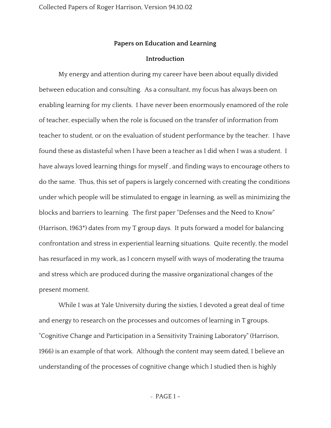## **Papers on Education and Learning**

## **Introduction**

My energy and attention during my career have been about equally divided between education and consulting. As a consultant, my focus has always been on enabling learning for my clients. I have never been enormously enamored of the role of teacher, especially when the role is focused on the transfer of information from teacher to student, or on the evaluation of student performance by the teacher. I have found these as distasteful when I have been a teacher as I did when I was a student. I have always loved learning things for myself , and finding ways to encourage others to do the same. Thus, this set of papers is largely concerned with creating the conditions under which people will be stimulated to engage in learning, as well as minimizing the blocks and barriers to learning. The first paper "Defenses and the Need to Know" (Harrison, 1963\*) dates from my T group days. It puts forward a model for balancing confrontation and stress in experiential learning situations. Quite recently, the model has resurfaced in my work, as I concern myself with ways of moderating the trauma and stress which are produced during the massive organizational changes of the present moment.

While I was at Yale University during the sixties, I devoted a great deal of time and energy to research on the processes and outcomes of learning in T groups. "Cognitive Change and Participation in a Sensitivity Training Laboratory" (Harrison, 1966) is an example of that work. Although the content may seem dated, I believe an understanding of the processes of cognitive change which I studied then is highly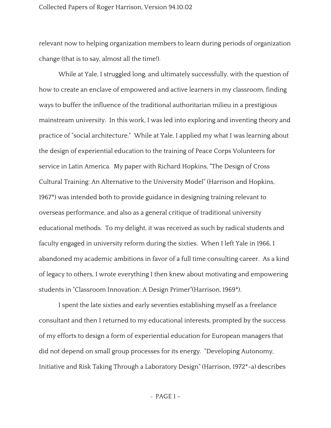relevant now to helping organization members to learn during periods of organization change (that is to say, almost all the time!).

While at Yale, I struggled long, and ultimately successfully, with the question of how to create an enclave of empowered and active learners in my classroom, finding ways to buffer the influence of the traditional authoritarian milieu in a prestigious mainstream university. In this work, I was led into exploring and inventing theory and practice of "social architecture." While at Yale, I applied my what I was learning about the design of experiential education to the training of Peace Corps Volunteers for service in Latin America. My paper with Richard Hopkins, "The Design of Cross Cultural Training: An Alternative to the University Model" (Harrison and Hopkins, 1967\*) was intended both to provide guidance in designing training relevant to overseas performance, and also as a general critique of traditional university educational methods. To my delight, it was received as such by radical students and faculty engaged in university reform during the sixties. When I left Yale in 1966, I abandoned my academic ambitions in favor of a full time consulting career. As a kind of legacy to others, I wrote everything I then knew about motivating and empowering students in "Classroom Innovation: A Design Primer"(Harrison, 1969\*).

I spent the late sixties and early seventies establishing myself as a freelance consultant and then I returned to my educational interests, prompted by the success of my efforts to design a form of experiential education for European managers that did not depend on small group processes for its energy. "Developing Autonomy, Initiative and Risk Taking Through a Laboratory Design" (Harrison, 1972\*-a) describes